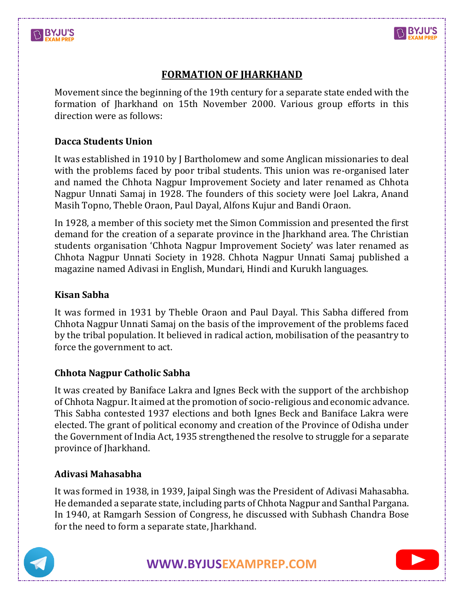



# **FORMATION OF JHARKHAND**

Movement since the beginning of the 19th century for a separate state ended with the formation of Jharkhand on 15th November 2000. Various group efforts in this direction were as follows:

## **Dacca Students Union**

It was established in 1910 by J Bartholomew and some Anglican missionaries to deal with the problems faced by poor tribal students. This union was re-organised later and named the Chhota Nagpur Improvement Society and later renamed as Chhota Nagpur Unnati Samaj in 1928. The founders of this society were Joel Lakra, Anand Masih Topno, Theble Oraon, Paul Dayal, Alfons Kujur and Bandi Oraon.

In 1928, a member of this society met the Simon Commission and presented the first demand for the creation of a separate province in the Jharkhand area. The Christian students organisation 'Chhota Nagpur Improvement Society' was later renamed as Chhota Nagpur Unnati Society in 1928. Chhota Nagpur Unnati Samaj published a magazine named Adivasi in English, Mundari, Hindi and Kurukh languages.

## **Kisan Sabha**

It was formed in 1931 by Theble Oraon and Paul Dayal. This Sabha differed from Chhota Nagpur Unnati Samaj on the basis of the improvement of the problems faced by the tribal population. It believed in radical action, mobilisation of the peasantry to force the government to act.

### **Chhota Nagpur Catholic Sabha**

It was created by Baniface Lakra and Ignes Beck with the support of the archbishop of Chhota Nagpur. It aimed at the promotion of socio-religious and economic advance. This Sabha contested 1937 elections and both Ignes Beck and Baniface Lakra were elected. The grant of political economy and creation of the Province of Odisha under the Government of India Act, 1935 strengthened the resolve to struggle for a separate province of Jharkhand.

### **Adivasi Mahasabha**

It was formed in 1938, in 1939, Jaipal Singh was the President of Adivasi Mahasabha. He demanded a separate state, including parts of Chhota Nagpur and Santhal Pargana. In 1940, at Ramgarh Session of Congress, he discussed with Subhash Chandra Bose for the need to form a separate state, Jharkhand.



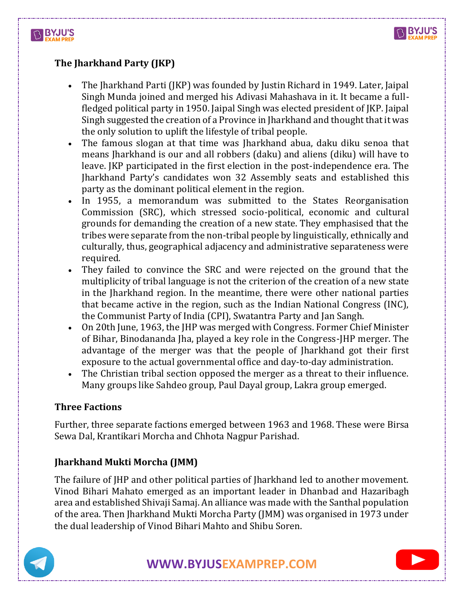



# **The Jharkhand Party (JKP)**

- The Jharkhand Parti (JKP) was founded by Justin Richard in 1949. Later, Jaipal Singh Munda joined and merged his Adivasi Mahashava in it. It became a fullfledged political party in 1950. Jaipal Singh was elected president of JKP. Jaipal Singh suggested the creation of a Province in Jharkhand and thought that it was the only solution to uplift the lifestyle of tribal people.
- The famous slogan at that time was Jharkhand abua, daku diku senoa that means Jharkhand is our and all robbers (daku) and aliens (diku) will have to leave. JKP participated in the first election in the post-independence era. The Jharkhand Party's candidates won 32 Assembly seats and established this party as the dominant political element in the region.
- In 1955, a memorandum was submitted to the States Reorganisation Commission (SRC), which stressed socio-political, economic and cultural grounds for demanding the creation of a new state. They emphasised that the tribes were separate from the non-tribal people by linguistically, ethnically and culturally, thus, geographical adjacency and administrative separateness were required.
- They failed to convince the SRC and were rejected on the ground that the multiplicity of tribal language is not the criterion of the creation of a new state in the Jharkhand region. In the meantime, there were other national parties that became active in the region, such as the Indian National Congress (INC), the Communist Party of India (CPI), Swatantra Party and Jan Sangh.
- On 20th June, 1963, the JHP was merged with Congress. Former Chief Minister of Bihar, Binodananda Jha, played a key role in the Congress-JHP merger. The advantage of the merger was that the people of Jharkhand got their first exposure to the actual governmental office and day-to-day administration.
- The Christian tribal section opposed the merger as a threat to their influence. Many groups like Sahdeo group, Paul Dayal group, Lakra group emerged.

### **Three Factions**

Further, three separate factions emerged between 1963 and 1968. These were Birsa Sewa Dal, Krantikari Morcha and Chhota Nagpur Parishad.

## **Jharkhand Mukti Morcha (JMM)**

The failure of JHP and other political parties of Jharkhand led to another movement. Vinod Bihari Mahato emerged as an important leader in Dhanbad and Hazaribagh area and established Shivaji Samaj. An alliance was made with the Santhal population of the area. Then Jharkhand Mukti Morcha Party (JMM) was organised in 1973 under the dual leadership of Vinod Bihari Mahto and Shibu Soren.



**[WWW.BYJUSEXAMPREP.COM](https://byjusexamprep.com/)** 

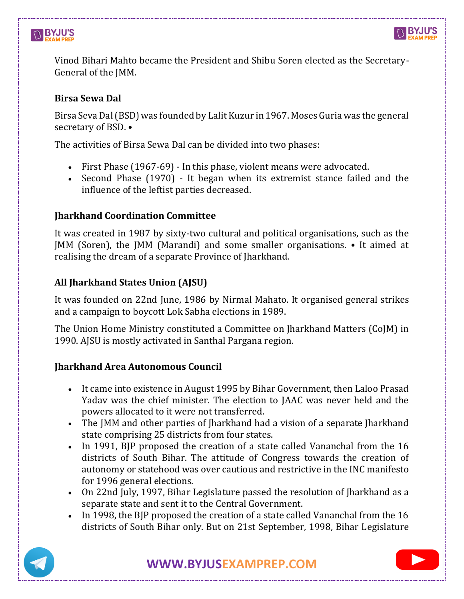# **BYJU'S**



Vinod Bihari Mahto became the President and Shibu Soren elected as the Secretary-General of the JMM.

## **Birsa Sewa Dal**

Birsa Seva Dal (BSD) was founded by Lalit Kuzur in 1967. Moses Guria was the general secretary of BSD. •

The activities of Birsa Sewa Dal can be divided into two phases:

- First Phase (1967-69) In this phase, violent means were advocated.
- Second Phase (1970) It began when its extremist stance failed and the influence of the leftist parties decreased.

# **Jharkhand Coordination Committee**

It was created in 1987 by sixty-two cultural and political organisations, such as the JMM (Soren), the JMM (Marandi) and some smaller organisations. • It aimed at realising the dream of a separate Province of Jharkhand.

# **All Jharkhand States Union (AJSU)**

It was founded on 22nd June, 1986 by Nirmal Mahato. It organised general strikes and a campaign to boycott Lok Sabha elections in 1989.

The Union Home Ministry constituted a Committee on Jharkhand Matters (CoJM) in 1990. AJSU is mostly activated in Santhal Pargana region.

# **Jharkhand Area Autonomous Council**

- It came into existence in August 1995 by Bihar Government, then Laloo Prasad Yadav was the chief minister. The election to JAAC was never held and the powers allocated to it were not transferred.
- The JMM and other parties of Jharkhand had a vision of a separate Jharkhand state comprising 25 districts from four states.
- In 1991, BIP proposed the creation of a state called Vananchal from the 16 districts of South Bihar. The attitude of Congress towards the creation of autonomy or statehood was over cautious and restrictive in the INC manifesto for 1996 general elections.
- On 22nd July, 1997, Bihar Legislature passed the resolution of Jharkhand as a separate state and sent it to the Central Government.
- In 1998, the BJP proposed the creation of a state called Vananchal from the 16 districts of South Bihar only. But on 21st September, 1998, Bihar Legislature



**[WWW.BYJUSEXAMPREP.COM](https://byjusexamprep.com/)**